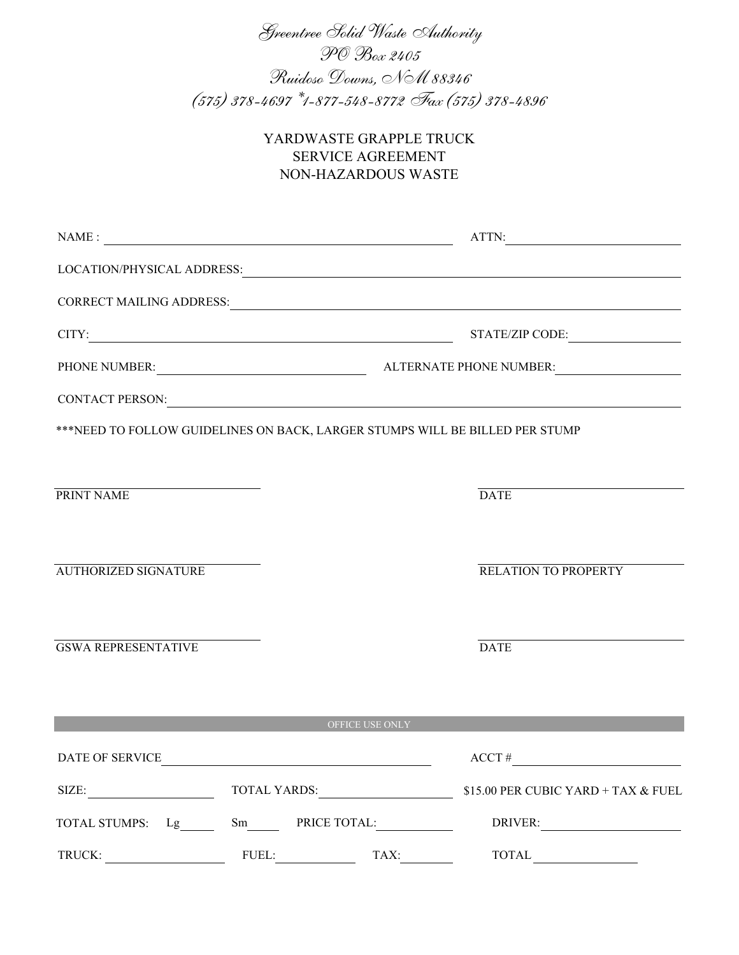Greentree Solid Waste Authority PO Box 2405 Ruidoso Downs, NM 88346 (575) 378-4697 \*1-877-548-8772 Fax (575) 378-4896

# YARDWASTE GRAPPLE TRUCK SERVICE AGREEMENT NON-HAZARDOUS WASTE

| $\mathsf{NAME:}\footnotesize\begin{picture}(10,10) \put(0,0){\dashbox{0.5}(10,0){ }} \put(15,0){\dashbox{0.5}(10,0){ }} \put(15,0){\dashbox{0.5}(10,0){ }} \put(15,0){\dashbox{0.5}(10,0){ }} \put(15,0){\dashbox{0.5}(10,0){ }} \put(15,0){\dashbox{0.5}(10,0){ }} \put(15,0){\dashbox{0.5}(10,0){ }} \put(15,0){\dashbox{0.5}(10,0){ }} \put(15,0){\dashbox{0.5}(10,0){ }} \put$ |       |                                                      | ATTN:<br><u> 1989 - Johann Barbara, martxa a</u>                                                                                                                                                                               |
|------------------------------------------------------------------------------------------------------------------------------------------------------------------------------------------------------------------------------------------------------------------------------------------------------------------------------------------------------------------------------------|-------|------------------------------------------------------|--------------------------------------------------------------------------------------------------------------------------------------------------------------------------------------------------------------------------------|
|                                                                                                                                                                                                                                                                                                                                                                                    |       |                                                      |                                                                                                                                                                                                                                |
|                                                                                                                                                                                                                                                                                                                                                                                    |       |                                                      | CORRECT MAILING ADDRESS: University of the contract of the contract of the contract of the contract of the contract of the contract of the contract of the contract of the contract of the contract of the contract of the con |
| CITY:                                                                                                                                                                                                                                                                                                                                                                              |       |                                                      | STATE/ZIP CODE:                                                                                                                                                                                                                |
|                                                                                                                                                                                                                                                                                                                                                                                    |       |                                                      |                                                                                                                                                                                                                                |
|                                                                                                                                                                                                                                                                                                                                                                                    |       |                                                      | CONTACT PERSON: UNIVERSITY OF A SERIES ON A SERIES OF A SERIES OF A SERIES OF A SERIES OF A SERIES OF A SERIES OF A SERIES OF A SERIES OF A SERIES OF A SERIES OF A SERIES OF A SERIES OF A SERIES OF A SERIES OF A SERIES OF  |
| ***NEED TO FOLLOW GUIDELINES ON BACK, LARGER STUMPS WILL BE BILLED PER STUMP                                                                                                                                                                                                                                                                                                       |       |                                                      |                                                                                                                                                                                                                                |
|                                                                                                                                                                                                                                                                                                                                                                                    |       |                                                      |                                                                                                                                                                                                                                |
| PRINT NAME                                                                                                                                                                                                                                                                                                                                                                         |       |                                                      | <b>DATE</b>                                                                                                                                                                                                                    |
|                                                                                                                                                                                                                                                                                                                                                                                    |       |                                                      |                                                                                                                                                                                                                                |
| <b>AUTHORIZED SIGNATURE</b>                                                                                                                                                                                                                                                                                                                                                        |       |                                                      | RELATION TO PROPERTY                                                                                                                                                                                                           |
|                                                                                                                                                                                                                                                                                                                                                                                    |       |                                                      |                                                                                                                                                                                                                                |
| <b>GSWA REPRESENTATIVE</b>                                                                                                                                                                                                                                                                                                                                                         |       |                                                      | <b>DATE</b>                                                                                                                                                                                                                    |
|                                                                                                                                                                                                                                                                                                                                                                                    |       |                                                      |                                                                                                                                                                                                                                |
|                                                                                                                                                                                                                                                                                                                                                                                    |       | OFFICE USE ONLY                                      |                                                                                                                                                                                                                                |
| DATE OF SERVICE                                                                                                                                                                                                                                                                                                                                                                    |       | <u> 1989 - Johann Barn, fransk politik (d. 1989)</u> | $ACCT \#$                                                                                                                                                                                                                      |
| SIZE: TOTAL YARDS:                                                                                                                                                                                                                                                                                                                                                                 |       |                                                      | \$15.00 PER CUBIC YARD + TAX & FUEL                                                                                                                                                                                            |
|                                                                                                                                                                                                                                                                                                                                                                                    |       |                                                      | DRIVER:                                                                                                                                                                                                                        |
| TRUCK:                                                                                                                                                                                                                                                                                                                                                                             | FUEL: | TAX:                                                 | <b>TOTAL</b>                                                                                                                                                                                                                   |